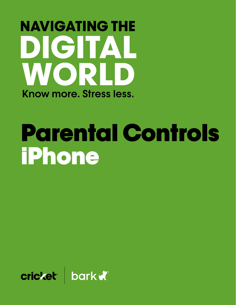# **NAVIGATING THE** DIGITAL WORLD Know more, Stress less.

# Parental Controls iPhone

cricket bark a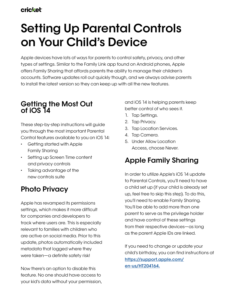# **Setting Up Parental Controls on Your Child's Device**

Apple devices have lots of ways for parents to control safety, privacy, and other types of settings. Similar to the Family Link app found on Android phones, Apple offers Family Sharing that affords parents the ability to manage their children's accounts. Software updates roll out quickly though, and we always advise parents to install the latest version so they can keep up with all the new features.

# **Getting the Most Out of iOS 14**

These step-by-step instructions will guide you through the most important Parental Control features available to you on iOS 14:

- Getting started with Apple Family Sharing
- Setting up Screen Time content and privacy controls
- Taking advantage of the new controls suite

# **Photo Privacy**

Apple has revamped its permissions settings, which makes it more difficult for companies and developers to track where users are. This is especially relevant to families with children who are active on social media. Prior to this update, photos automatically included metadata that logged where they were taken—a definite safety risk!

Now there's an option to disable this feature. No one should have access to your kid's data without your permission, and iOS 14 is helping parents keep better control of who sees it.

- 1. Tap Settings.
- 2. Tap Privacy.
- 3. Tap Location Services.
- 4. Tap Camera.
- 5. Under Allow Location Access, choose Never.

# **Apple Family Sharing**

In order to utilize Apple's iOS 14 update to Parental Controls, you'll need to have a child set up (if your child is already set up, feel free to skip this step). To do this, you'll need to enable Family Sharing. You'll be able to add more than one parent to serve as the privilege holder and have control of these settings from their respective devices—as long as the parent Apple IDs are linked.

If you need to change or update your child's birthday, you can find instructions at **[https://support.apple.com/](https://support.apple.com/en-us/HT204164. ) [en-us/HT204164.](https://support.apple.com/en-us/HT204164. )**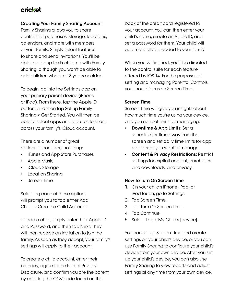#### **Creating Your Family Sharing Account**

Family Sharing allows you to share controls for purchases, storage, locations, calendars, and more with members of your family. Simply select features to share and send invitations. You'll be able to add up to six children with Family Sharing, although you won't be able to add children who are 18 years or older.

To begin, go into the Settings app on your primary parent device (iPhone or iPad). From there, tap the Apple ID button, and then tap Set up Family Sharing > Get Started. You will then be able to select apps and features to share across your family's iCloud account.

There are a number of great options to consider, including:

- iTunes and App Store Purchases
- Apple Music
- iCloud Storage
- Location Sharing
- Screen Time

Selecting each of these options will prompt you to tap either Add Child or Create a Child Account.

To add a child, simply enter their Apple ID and Password, and then tap Next. They will then receive an invitation to join the family. As soon as they accept, your family's settings will apply to their account.

To create a child account, enter their birthday, agree to the Parent Privacy Disclosure, and confirm you are the parent by entering the CCV code found on the

back of the credit card registered to your account. You can then enter your child's name, create an Apple ID, and set a password for them. Your child will automatically be added to your family.

When you've finished, you'll be directed to the control suite for each feature offered by iOS 14. For the purposes of setting and managing Parental Controls, you should focus on Screen Time.

#### **Screen Time**

Screen Time will give you insights about how much time you're using your device, and you can set limits for managing:

- **• Downtime & App Limits:** Set a schedule for time away from the screen and set daily time limits for app categories you want to manage.
- **• Content & Privacy Restrictions:** Restrict settings for explicit content, purchases and downloads, and privacy.

#### **How To Turn On Screen Time**

- 1. On your child's iPhone, iPad, or iPod touch, go to Settings.
- 2. Tap Screen Time.
- 3. Tap Turn On Screen Time.
- 4. Tap Continue.
- 5. Select This is My Child's [device].

You can set up Screen Time and create settings on your child's device, or you can use Family Sharing to configure your child's device from your own device. After you set up your child's device, you can also use Family Sharing to view reports and adjust settings at any time from your own device.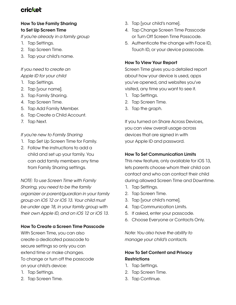#### **How To Use Family Sharing to Set Up Screen Time**

*If you're already in a family group*

- 1. Tap Settings.
- 2. Tap Screen Time.
- 3. Tap your child's name.

#### *If you need to create an*

#### *Apple ID for your child*

- 1. Tap Settings.
- 2. Tap [your name].
- 3. Tap Family Sharing.
- 4. Tap Screen Time.
- 5. Tap Add Family Member.
- 6. Tap Create a Child Account.
- 7. Tap Next.

#### *If you're new to Family Sharing*

- 1. Tap Set Up Screen Time for Family.
- 2. Follow the instructions to add a child and set up your family. You can add family members any time from Family Sharing settings.

*NOTE: To use Screen Time with Family Sharing, you need to be the family organizer or parent/guardian in your family group on iOS 12 or iOS 13. Your child must be under age 18, in your family group with their own Apple ID, and on iOS 12 or iOS 13.*

#### **How To Create a Screen Time Passcode**

With Screen Time, you can also create a dedicated passcode to secure settings so only you can extend time or make changes. To change or turn off the passcode on your child's device:

- 1. Tap Settings.
- 2. Tap Screen Time.
- 3. Tap [your child's name].
- 4. Tap Change Screen Time Passcode or Turn Off Screen Time Passcode.
- 5. Authenticate the change with Face ID, Touch ID, or your device passcode.

#### **How To View Your Report**

Screen Time gives you a detailed report about how your device is used, apps you've opened, and websites you've visited, any time you want to see it.

- 1. Tap Settings.
- 2. Tap Screen Time.
- 3. Tap the graph.

If you turned on Share Across Devices, you can view overall usage across devices that are signed in with your Apple ID and password.

#### **How To Set Communication Limits**

This new feature, only available for iOS 13, lets parents choose whom their child can contact and who can contact their child during allowed Screen Time and Downtime.

- 1. Tap Settings.
- 2. Tap Screen Time.
- 3. Tap [your child's name].
- 4. Tap Communication Limits.
- 5. If asked, enter your passcode.
- 6. Choose Everyone or Contacts Only.

*Note: You also have the ability to manage your child's contacts.*

#### **How To Set Content and Privacy Restrictions**

- 1. Tap Settings.
- 2. Tap Screen Time.
- 3. Tap Continue.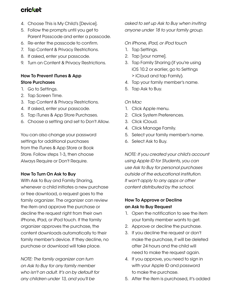- 4. Choose This is My Child's [Device].
- 5. Follow the prompts until you get to Parent Passcode and enter a passcode.
- 6. Re-enter the passcode to confirm.
- 7. Tap Content & Privacy Restrictions.
- 8. If asked, enter your passcode.
- 9. Turn on Content & Privacy Restrictions.

#### **How To Prevent iTunes & App Store Purchases**

- 1. Go to Settings.
- 2. Tap Screen Time.
- 3. Tap Content & Privacy Restrictions.
- 4. If asked, enter your passcode.
- 5. Tap iTunes & App Store Purchases.
- 6. Choose a setting and set to Don't Allow.

You can also change your password settings for additional purchases from the iTunes & App Store or Book Store. Follow steps 1-3, then choose Always Require or Don't Require.

#### **How To Turn On Ask to Buy**

With Ask to Buy and Family Sharing, whenever a child initiates a new purchase or free download, a request goes to the family organizer. The organizer can review the item and approve the purchase or decline the request right from their own iPhone, iPad, or iPod touch. If the family organizer approves the purchase, the content downloads automatically to their family member's device. If they decline, no purchase or download will take place.

*NOTE: The family organizer can turn on Ask to Buy for any family member who isn't an adult. It's on by default for any children under 13, and you'll be* 

*asked to set up Ask to Buy when inviting anyone under 18 to your family group.*

#### *On iPhone, iPad, or iPod touch*

- 1. Tap Settings.
- 2. Tap [your name].
- 3. Tap Family Sharing (if you're using iOS 10.2 or earlier, go to Settings > iCloud and tap Family).
- 4. Tap your family member's name.
- 5. Tap Ask to Buy.

#### *On Mac*

- 1. Click Apple menu.
- 2. Click System Preferences.
- 3. Click iCloud.
- 4. Click Manage Family.
- 5. Select your family member's name.
- 6. Select Ask to Buy.

*NOTE: If you created your child's account using Apple ID for Students, you can use Ask to Buy for personal purchases outside of the educational institution. It won't apply to any apps or other content distributed by the school.*

#### **How To Approve or Decline an Ask to Buy Request**

- 1. Open the notification to see the item your family member wants to get.
- 2. Approve or decline the purchase.
- 3. If you decline the request or don't make the purchase, it will be deleted after 24 hours and the child will need to make the request again.
- 4. If you approve, you need to sign in with your Apple ID and password to make the purchase.
- 5. After the item is purchased, it's added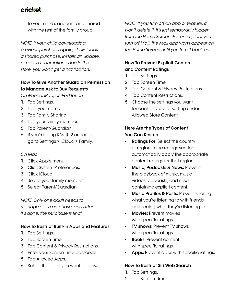to your child's account and shared with the rest of the family group.

*NOTE: If your child downloads a previous purchase again, downloads a shared purchase, installs an update, or uses a redemption code in the store, you won't get a notification.*

#### **How To Give Another Guardian Permission to Manage Ask to Buy Requests**

*On iPhone, iPad, or iPod touch*

- 1. Tap Settings.
- 2. Tap [your name].
- 3. Tap Family Sharing.
- 4. Tap your family member.
- 5. Tap Parent/Guardian.
- 6. If you're using iOS 10.2 or earlier, go to Settings > iCloud > Family.

#### *On Mac*

- 1. Click Apple menu.
- 2. Click System Preferences.
- 3. Click iCloud.
- 4. Select your family member.
- 5. Select Parent/Guardian.

*NOTE: Only one adult needs to manage each purchase, and after it's done, the purchase is final.*

#### **How To Restrict Built-In Apps and Features**

- 1. Tap Settings.
- 2. Tap Screen Time.
- 3. Tap Content & Privacy Restrictions.
- 4. Enter your Screen Time passcode.
- 5. Tap Allowed Apps.
- 6. Select the apps you want to allow.

*NOTE: If you turn off an app or feature, it won't delete it, it's just temporarily hidden from the Home Screen. For example, if you turn off Mail, the Mail app won't appear on the Home Screen until you turn it back on.*

#### **How To Prevent Explicit Content and Content Ratings**

- 1. Tap Settings.
- 2. Tap Screen Time.
- 3. Tap Content & Privacy Restrictions.
- 4. Tap Content Restrictions.
- 5. Choose the settings you want for each feature or setting under Allowed Store Content.

#### **Here Are the Types of Content You Can Restrict**

- **• Ratings For:** Select the country or region in the ratings section to automatically apply the appropriate content ratings for that region.
- **• Music, Podcasts & News:** Prevent the playback of music, music videos, podcasts, and news containing explicit content.
- **• Music Profiles & Posts:** Prevent sharing what you're listening to with friends and seeing what they're listening to.
- **• Movies:** Prevent movies with specific ratings.
- **• TV shows:** Prevent TV shows with specific ratings.
- **• Books:** Prevent content with specific ratings.
- **• Apps:** Prevent apps with specific ratings.

#### **How To Restrict Siri Web Search**

- 1. Tap Settings.
- 2. Tap Screen Time.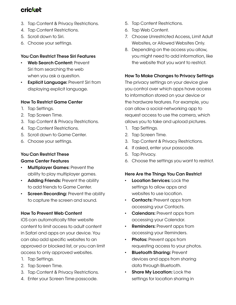- 3. Tap Content & Privacy Restrictions.
- 4. Tap Content Restrictions.
- 5. Scroll down to Siri.
- 6. Choose your settings.

#### **You Can Restrict These Siri Features**

- **• Web Search Content:** Prevent Siri from searching the web when you ask a question.
- **• Explicit Language:** Prevent Siri from displaying explicit language.

#### **How To Restrict Game Center**

- 1. Tap Settings.
- 2. Tap Screen Time.
- 3. Tap Content & Privacy Restrictions.
- 4. Tap Content Restrictions.
- 5. Scroll down to Game Center.
- 6. Choose your settings.

#### **You Can Restrict These Game Center Features**

- **• Multiplayer Games:** Prevent the ability to play multiplayer games.
- **• Adding Friends:** Prevent the ability to add friends to Game Center.
- **• Screen Recording:** Prevent the ability to capture the screen and sound.

#### **How To Prevent Web Content**

iOS can automatically filter website content to limit access to adult content in Safari and apps on your device. You can also add specific websites to an approved or blocked list, or you can limit access to only approved websites.

- 1. Tap Settings.
- 2. Tap Screen Time.
- 3. Tap Content & Privacy Restrictions.
- 4. Enter your Screen Time passcode.
- 5. Tap Content Restrictions.
- 6. Tap Web Content.
- 7. Choose Unrestricted Access, Limit Adult Websites, or Allowed Websites Only.
- 8. Depending on the access you allow, you might need to add information, like the website that you want to restrict.

#### **How To Make Changes to Privacy Settings**

The privacy settings on your device give you control over which apps have access to information stored on your device or the hardware features. For example, you can allow a social-networking app to request access to use the camera, which allows you to take and upload pictures.

- 1. Tap Settings.
- 2. Tap Screen Time.
- 3. Tap Content & Privacy Restrictions.
- 4. If asked, enter your passcode.
- 5. Tap Privacy.
- 6. Choose the settings you want to restrict.

#### **Here Are the Things You Can Restrict**

- **• Location Services:** Lock the settings to allow apps and websites to use location.
- **Contacts:** Prevent apps from accessing your Contacts.
- **• Calendars:** Prevent apps from accessing your Calendar.
- **• Reminders:** Prevent apps from accessing your Reminders.
- **• Photos:** Prevent apps from requesting access to your photos.
- **• Bluetooth Sharing:** Prevent devices and apps from sharing data through Bluetooth.
- **• Share My Location:** Lock the settings for location sharing in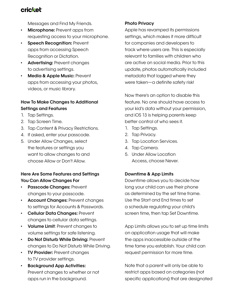Messages and Find My Friends.

- **• Microphone:** Prevent apps from requesting access to your microphone.
- **• Speech Recognition:** Prevent apps from accessing Speech Recognition or Dictation.
- **• Advertising:** Prevent changes to advertising settings.
- **• Media & Apple Music:** Prevent apps from accessing your photos, videos, or music library.

#### **How To Make Changes to Additional Settings and Features**

- 1. Tap Settings.
- 2. Tap Screen Time.
- 3. Tap Content & Privacy Restrictions.
- 4. If asked, enter your passcode.
- 5. Under Allow Changes, select the features or settings you want to allow changes to and choose Allow or Don't Allow.

#### **Here Are Some Features and Settings You Can Allow Changes For**

- **• Passcode Changes:** Prevent changes to your passcode.
- **• Account Changes:** Prevent changes to settings for Accounts & Passwords.
- **• Cellular Data Changes:** Prevent changes to cellular data settings.
- **• Volume Limit**: Prevent changes to volume settings for safe listening.
- **• Do Not Disturb While Driving:** Prevent changes to Do Not Disturb While Driving.
- **• TV Provider:** Prevent changes to TV provider settings.
- **• Background App Activities:** Prevent changes to whether or not apps run in the background.

#### **Photo Privacy**

Apple has revamped its permissions settings, which makes it more difficult for companies and developers to track where users are. This is especially relevant to families with children who are active on social media. Prior to this update, photos automatically included metadata that logged where they were taken—a definite safety risk!

Now there's an option to disable this feature. No one should have access to your kid's data without your permission, and iOS 13 is helping parents keep better control of who sees it.

- 1. Tap Settings.
- 2. Tap Privacy.
- 3. Tap Location Services.
- 4. Tap Camera.
- 5. Under Allow Location Access, choose Never.

#### **Downtime & App Limits**

Downtime allows you to decide how long your child can use their phone as determined by the set time frame. Use the Start and End times to set a schedule regulating your child's screen time, then tap Set Downtime.

App Limits allows you to set up time limits on application usage that will make the apps inaccessible outside of the time fame you establish. Your child can request permission for more time.

Note that a parent will only be able to restrict apps based on categories (not specific applications) that are designated